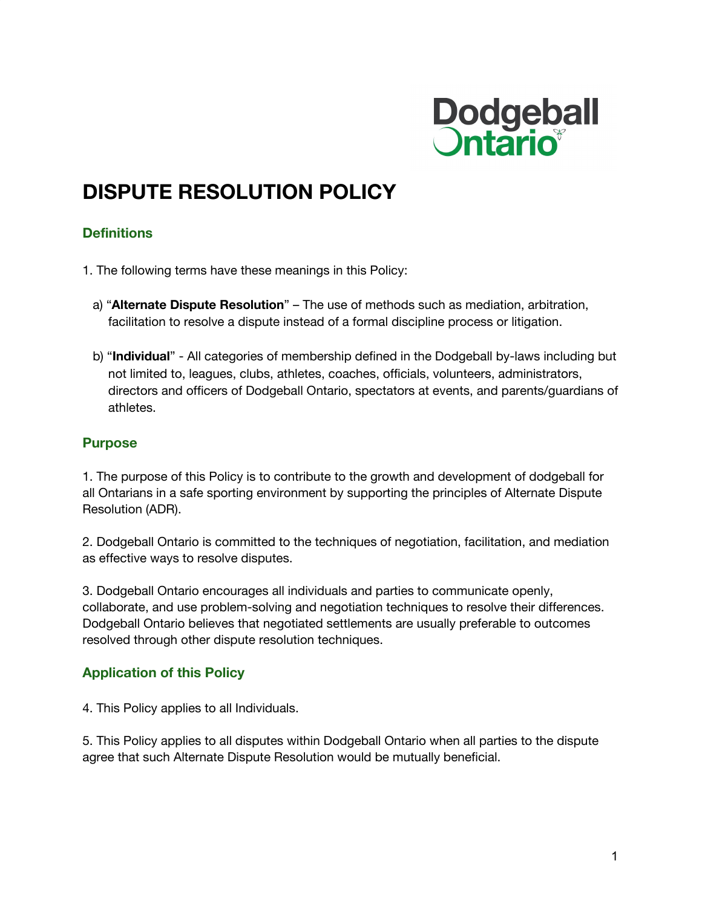

# **DISPUTE RESOLUTION POLICY**

## **Definitions**

- 1. The following terms have these meanings in this Policy:
	- a) "**Alternate Dispute Resolution**" The use of methods such as mediation, arbitration, facilitation to resolve a dispute instead of a formal discipline process or litigation.
	- b) "**Individual**" All categories of membership defined in the Dodgeball by-laws including but not limited to, leagues, clubs, athletes, coaches, officials, volunteers, administrators, directors and officers of Dodgeball Ontario, spectators at events, and parents/guardians of athletes.

#### **Purpose**

1. The purpose of this Policy is to contribute to the growth and development of dodgeball for all Ontarians in a safe sporting environment by supporting the principles of Alternate Dispute Resolution (ADR).

2. Dodgeball Ontario is committed to the techniques of negotiation, facilitation, and mediation as effective ways to resolve disputes.

3. Dodgeball Ontario encourages all individuals and parties to communicate openly, collaborate, and use problem-solving and negotiation techniques to resolve their differences. Dodgeball Ontario believes that negotiated settlements are usually preferable to outcomes resolved through other dispute resolution techniques.

### **Application of this Policy**

4. This Policy applies to all Individuals.

5. This Policy applies to all disputes within Dodgeball Ontario when all parties to the dispute agree that such Alternate Dispute Resolution would be mutually beneficial.